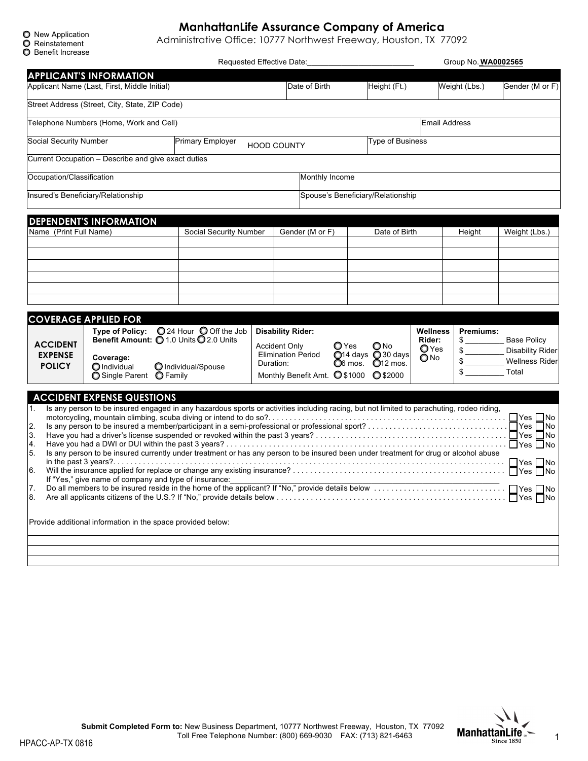| $\bullet$ new Application |
|---------------------------|
| <b>O</b> Reinstatement    |

# **ManhattanLife Assurance Company of America**

O New Application<br>
C Reinstatement<br>
Administrative Office: 10777 Northwest Freeway, Houston, TX 77092

| <b>O</b> Benefit Increase         |                                                                                                                                                                                |                         |           | Requested Effective Date:                         |                  |                     |                                   |                       | Group No. <b>WA0002565</b> |                                |
|-----------------------------------|--------------------------------------------------------------------------------------------------------------------------------------------------------------------------------|-------------------------|-----------|---------------------------------------------------|------------------|---------------------|-----------------------------------|-----------------------|----------------------------|--------------------------------|
|                                   | <b>APPLICANT'S INFORMATION</b>                                                                                                                                                 |                         |           |                                                   |                  |                     |                                   |                       |                            |                                |
|                                   | Applicant Name (Last, First, Middle Initial)                                                                                                                                   |                         |           | Date of Birth                                     |                  |                     | Height (Ft.)                      |                       | Weight (Lbs.)              | Gender (M or F)                |
|                                   | Street Address (Street, City, State, ZIP Code)                                                                                                                                 |                         |           |                                                   |                  |                     |                                   |                       |                            |                                |
|                                   | Telephone Numbers (Home, Work and Cell)                                                                                                                                        |                         |           |                                                   |                  |                     |                                   | <b>Email Address</b>  |                            |                                |
| Social Security Number            |                                                                                                                                                                                | <b>Primary Employer</b> |           | <b>HOOD COUNTY</b>                                |                  |                     | Type of Business                  |                       |                            |                                |
|                                   | Current Occupation - Describe and give exact duties                                                                                                                            |                         |           |                                                   |                  |                     |                                   |                       |                            |                                |
| Occupation/Classification         |                                                                                                                                                                                |                         |           |                                                   | Monthly Income   |                     |                                   |                       |                            |                                |
|                                   | Insured's Beneficiary/Relationship                                                                                                                                             |                         |           |                                                   |                  |                     | Spouse's Beneficiary/Relationship |                       |                            |                                |
|                                   |                                                                                                                                                                                |                         |           |                                                   |                  |                     |                                   |                       |                            |                                |
| Name (Print Full Name)            | <b>DEPENDENT'S INFORMATION</b>                                                                                                                                                 | Social Security Number  |           | Gender (M or F)                                   |                  |                     | Date of Birth                     |                       | Height                     | Weight (Lbs.)                  |
|                                   |                                                                                                                                                                                |                         |           |                                                   |                  |                     |                                   |                       |                            |                                |
|                                   |                                                                                                                                                                                |                         |           |                                                   |                  |                     |                                   |                       |                            |                                |
|                                   |                                                                                                                                                                                |                         |           |                                                   |                  |                     |                                   |                       |                            |                                |
|                                   |                                                                                                                                                                                |                         |           |                                                   |                  |                     |                                   |                       |                            |                                |
|                                   | <b>COVERAGE APPLIED FOR</b>                                                                                                                                                    |                         |           |                                                   |                  |                     |                                   |                       |                            |                                |
|                                   | Type of Policy: 024 Hour 0 Off the Job<br>Benefit Amount: 0 1.0 Units 0 2.0 Units                                                                                              |                         |           | <b>Disability Rider:</b>                          |                  |                     |                                   | Wellness<br>Rider:    | Premiums:<br>$\frac{1}{2}$ | <b>Base Policy</b>             |
| <b>ACCIDENT</b><br><b>EXPENSE</b> | Coverage:                                                                                                                                                                      |                         |           | <b>Accident Only</b><br><b>Elimination Period</b> | $\mathbf{O}$ Yes |                     | O No<br>$O$ 14 days $O$ 30 days   | OYes<br>$\bigcirc$ No | $\frac{1}{2}$              | <b>Disability Rider</b>        |
| <b>POLICY</b>                     | O Individual<br>◯ Single Parent ◯ Family                                                                                                                                       | O Individual/Spouse     | Duration: | Monthly Benefit Amt. <b>O</b> \$1000              |                  | O <sub>6</sub> mos. | $Q12$ mos.<br><b>O</b> \$2000     |                       | \$                         | <b>Wellness Rider</b><br>Total |
|                                   |                                                                                                                                                                                |                         |           |                                                   |                  |                     |                                   |                       |                            |                                |
| 1.                                | <b>ACCIDENT EXPENSE QUESTIONS</b><br>Is any person to be insured engaged in any hazardous sports or activities including racing, but not limited to parachuting, rodeo riding, |                         |           |                                                   |                  |                     |                                   |                       |                            |                                |
| $\mathbf{2}$                      |                                                                                                                                                                                |                         |           |                                                   |                  |                     |                                   |                       |                            |                                |
| 3.<br>4.                          |                                                                                                                                                                                |                         |           |                                                   |                  |                     |                                   |                       |                            |                                |
| 5.                                | Is any person to be insured currently under treatment or has any person to be insured been under treatment for drug or alcohol abuse                                           |                         |           |                                                   |                  |                     |                                   |                       |                            |                                |
| 6.                                |                                                                                                                                                                                |                         |           |                                                   |                  |                     |                                   |                       |                            |                                |
| 8.                                |                                                                                                                                                                                |                         |           |                                                   |                  |                     |                                   |                       |                            | $\Box$ Yes $\Box$ No           |
|                                   | Provide additional information in the space provided below:                                                                                                                    |                         |           |                                                   |                  |                     |                                   |                       |                            |                                |
|                                   |                                                                                                                                                                                |                         |           |                                                   |                  |                     |                                   |                       |                            |                                |
|                                   |                                                                                                                                                                                |                         |           |                                                   |                  |                     |                                   |                       |                            |                                |

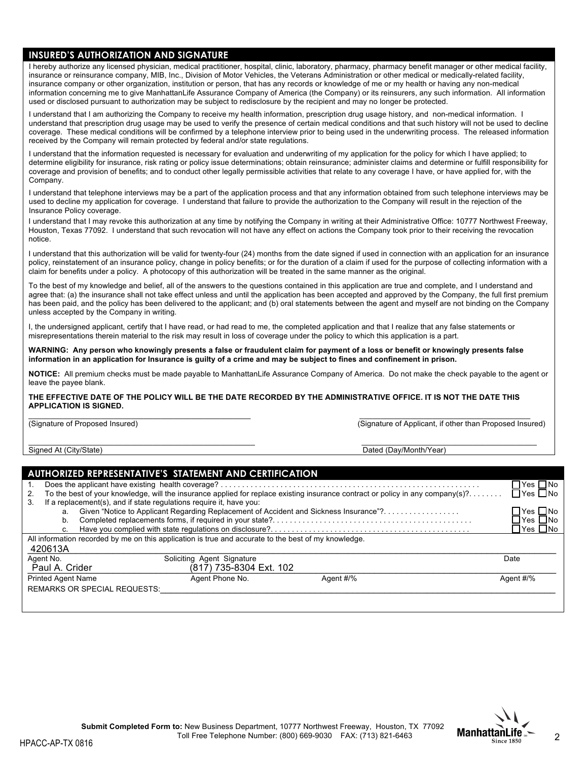# **INSURED'S AUTHORIZATION AND SIGNATURE**

I hereby authorize any licensed physician, medical practitioner, hospital, clinic, laboratory, pharmacy, pharmacy benefit manager or other medical facility, insurance or reinsurance company, MIB, Inc., Division of Motor Vehicles, the Veterans Administration or other medical or medically-related facility, insurance company or other organization, institution or person, that has any records or knowledge of me or my health or having any non-medical information concerning me to give ManhattanLife Assurance Company of America (the Company) or its reinsurers, any such information. All information used or disclosed pursuant to authorization may be subject to redisclosure by the recipient and may no longer be protected.

I understand that I am authorizing the Company to receive my health information, prescription drug usage history, and non-medical information. I understand that prescription drug usage may be used to verify the presence of certain medical conditions and that such history will not be used to decline coverage. These medical conditions will be confirmed by a telephone interview prior to being used in the underwriting process. The released information received by the Company will remain protected by federal and/or state regulations.

I understand that the information requested is necessary for evaluation and underwriting of my application for the policy for which I have applied; to determine eligibility for insurance, risk rating or policy issue determinations; obtain reinsurance; administer claims and determine or fulfill responsibility for coverage and provision of benefits; and to conduct other legally permissible activities that relate to any coverage I have, or have applied for, with the Company.

I understand that telephone interviews may be a part of the application process and that any information obtained from such telephone interviews may be used to decline my application for coverage. I understand that failure to provide the authorization to the Company will result in the rejection of the Insurance Policy coverage.

I understand that I may revoke this authorization at any time by notifying the Company in writing at their Administrative Office: 10777 Northwest Freeway, Houston, Texas 77092. I understand that such revocation will not have any effect on actions the Company took prior to their receiving the revocation notice.

I understand that this authorization will be valid for twenty-four (24) months from the date signed if used in connection with an application for an insurance policy, reinstatement of an insurance policy, change in policy benefits; or for the duration of a claim if used for the purpose of collecting information with a claim for benefits under a policy. A photocopy of this authorization will be treated in the same manner as the original.

To the best of my knowledge and belief, all of the answers to the questions contained in this application are true and complete, and I understand and agree that: (a) the insurance shall not take effect unless and until the application has been accepted and approved by the Company, the full first premium has been paid, and the policy has been delivered to the applicant; and (b) oral statements between the agent and myself are not binding on the Company unless accepted by the Company in writing.

I, the undersigned applicant, certify that I have read, or had read to me, the completed application and that I realize that any false statements or misrepresentations therein material to the risk may result in loss of coverage under the policy to which this application is a part.

**WARNING: Any person who knowingly presents a false or fraudulent claim for payment of a loss or benefit or knowingly presents false information in an application for Insurance is guilty of a crime and may be subject to fines and confinement in prison.**

**NOTICE:** All premium checks must be made payable to ManhattanLife Assurance Company of America. Do not make the check payable to the agent or leave the payee blank.

#### **THE EFFECTIVE DATE OF THE POLICY WILL BE THE DATE RECORDED BY THE ADMINISTRATIVE OFFICE. IT IS NOT THE DATE THIS APPLICATION IS SIGNED.**

 $\bot$  , and the contribution of the contribution of the contribution of the contribution of the contribution of the contribution of the contribution of the contribution of the contribution of the contribution of the contri (Signature of Proposed Insured) (Signature of Applicant, if other than Proposed Insured)

 $\_$  , and the state of the state of the state of the state of the state of the state of the state of the state of the state of the state of the state of the state of the state of the state of the state of the state of the Signed At (City/State) **Dated (Day/Month/Year)** Dated (Day/Month/Year)

|    |                           |                                     | AUTHORIZED REPRESENTATIVE'S STATEMENT AND CERTIFICATION                                              |                                                                                                                                |                         |
|----|---------------------------|-------------------------------------|------------------------------------------------------------------------------------------------------|--------------------------------------------------------------------------------------------------------------------------------|-------------------------|
|    |                           |                                     |                                                                                                      |                                                                                                                                | ]Yes ∐No                |
| 2. |                           |                                     |                                                                                                      | To the best of your knowledge, will the insurance applied for replace existing insurance contract or policy in any company(s)? | ]Yes □No                |
| 3. |                           |                                     | If a replacement(s), and if state regulations require it, have you:                                  |                                                                                                                                |                         |
|    |                           |                                     |                                                                                                      | a. Given "Notice to Applicant Regarding Replacement of Accident and Sickness Insurance"?                                       | ]Yes □No                |
|    | b.                        |                                     |                                                                                                      |                                                                                                                                | _INo<br>Yes I           |
|    | C.                        |                                     |                                                                                                      |                                                                                                                                | $\exists$ Yes $\Box$ No |
|    |                           |                                     | All information recorded by me on this application is true and accurate to the best of my knowledge. |                                                                                                                                |                         |
|    | 420613A                   |                                     |                                                                                                      |                                                                                                                                |                         |
|    | Agent No.                 |                                     | Soliciting Agent Signature                                                                           |                                                                                                                                | Date                    |
|    | Paul A. Crider            |                                     | (817) 735-8304 Ext. 102                                                                              |                                                                                                                                |                         |
|    | <b>Printed Agent Name</b> |                                     | Agent Phone No.                                                                                      | Agent #/%                                                                                                                      | Agent #/%               |
|    |                           | <b>REMARKS OR SPECIAL REQUESTS:</b> |                                                                                                      |                                                                                                                                |                         |
|    |                           |                                     |                                                                                                      |                                                                                                                                |                         |
|    |                           |                                     |                                                                                                      |                                                                                                                                |                         |

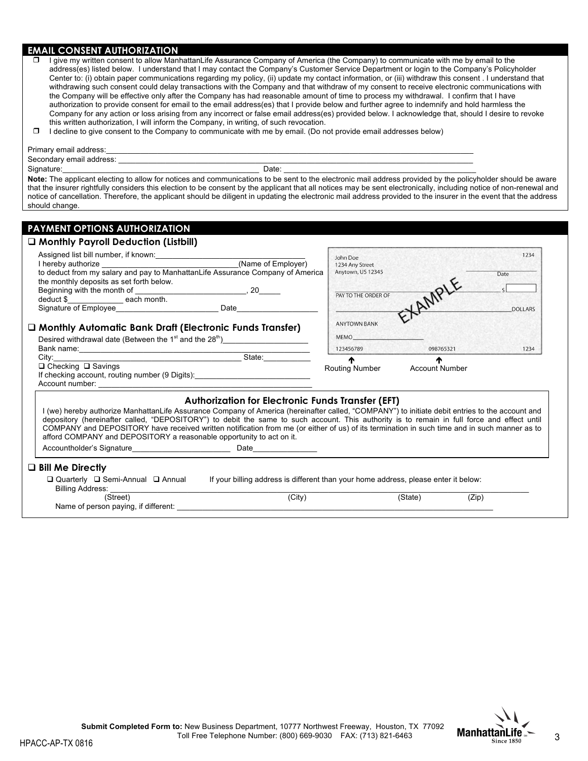# **EMAIL CONSENT AUTHORIZATION**

| I give my written consent to allow ManhattanLife Assurance Company of America (the Company) to communicate with me by email to the                     |
|--------------------------------------------------------------------------------------------------------------------------------------------------------|
| address(es) listed below. I understand that I may contact the Company's Customer Service Department or login to the Company's Policyholder             |
| Center to: (i) obtain paper communications regarding my policy, (ii) update my contact information, or (iii) withdraw this consent . I understand that |
| withdrawing such consent could delay transactions with the Company and that withdraw of my consent to receive electronic communications with           |
| the Company will be effective only after the Company has had reasonable amount of time to process my withdrawal. I confirm that I have                 |
| authorization to provide consent for email to the email address(es) that I provide below and further agree to indemnify and hold harmless the          |
| Company for any action or loss arising from any incorrect or false email address(es) provided below. I acknowledge that, should I desire to revoke     |
| this written authorization, I will inform the Company, in writing, of such revocation.                                                                 |
|                                                                                                                                                        |

 $\Box$  I decline to give consent to the Company to communicate with me by email. (Do not provide email addresses below)

| Primary email address:   |                                                                                                                                                                     |  |
|--------------------------|---------------------------------------------------------------------------------------------------------------------------------------------------------------------|--|
| Secondary email address: |                                                                                                                                                                     |  |
| Signature:               | Date:                                                                                                                                                               |  |
|                          | Note: The applicant electing to allow for notices and communications to be sent to the electronic mail address provided by the policyholder should be aware         |  |
|                          | that the insurer rightfully considers this election to be consent by the applicant that all notices may be sent electronically, including notice of non-renewal and |  |
|                          | notice of cancellation. Therefore, the applicant should be diligent in updating the electronic mail address provided to the insurer in the event that the address   |  |
| should change.           |                                                                                                                                                                     |  |

# **PAYMENT OPTIONS AUTHORIZATION**

### $\square$  Monthly Payroll Deduction (Listbill)

| State:<br>$\Box$ Checking $\Box$ Savings<br>If checking account, routing number (9 Digits):                               | 123456789<br>æ<br><b>Routing Number</b>          | 098765321<br>m<br><b>Account Number</b> | 1234           |
|---------------------------------------------------------------------------------------------------------------------------|--------------------------------------------------|-----------------------------------------|----------------|
| □ Monthly Automatic Bank Draft (Electronic Funds Transfer)<br>Desired withdrawal date (Between the $1st$ and the $28th$ ) | <b>ANYTOWN BANK</b><br><b>MEMO</b>               |                                         |                |
| deduct \$_____________________ each month.<br>Signature of Employee<br>Date                                               | PAY TO THE ORDER OF                              | KAMPLE                                  | <b>DOLLARS</b> |
| the monthly deposits as set forth below.<br>Beginning with the month of<br>, 20                                           |                                                  |                                         |                |
| (Name of Employer)                                                                                                        | John Doe<br>1234 Any Street<br>Anytown, US 12345 |                                         | Date           |

### **Authorization for Electronic Funds Transfer (EFT)**

| I (we) hereby authorize ManhattanLife Assurance Company of America (hereinafter called, "COMPANY") to initiate debit entries to the account and<br>depository (hereinafter called, "DEPOSITORY") to debit the same to such account. This authority is to remain in full force and effect until<br>COMPANY and DEPOSITORY have received written notification from me (or either of us) of its termination in such time and in such manner as to<br>afford COMPANY and DEPOSITORY a reasonable opportunity to act on it. |                                                                                     |         |       |  |
|------------------------------------------------------------------------------------------------------------------------------------------------------------------------------------------------------------------------------------------------------------------------------------------------------------------------------------------------------------------------------------------------------------------------------------------------------------------------------------------------------------------------|-------------------------------------------------------------------------------------|---------|-------|--|
| Accountholder's Signature <b>Example 20</b>                                                                                                                                                                                                                                                                                                                                                                                                                                                                            | Date                                                                                |         |       |  |
| $\square$ Bill Me Directly                                                                                                                                                                                                                                                                                                                                                                                                                                                                                             |                                                                                     |         |       |  |
| $\Box$ Quarterly $\Box$ Semi-Annual $\Box$ Annual                                                                                                                                                                                                                                                                                                                                                                                                                                                                      | If your billing address is different than your home address, please enter it below: |         |       |  |
| <b>Billing Address:</b>                                                                                                                                                                                                                                                                                                                                                                                                                                                                                                |                                                                                     |         |       |  |
| (Street)                                                                                                                                                                                                                                                                                                                                                                                                                                                                                                               | (City)                                                                              | (State) | (Zip) |  |
| Name of person paying, if different:                                                                                                                                                                                                                                                                                                                                                                                                                                                                                   |                                                                                     |         |       |  |